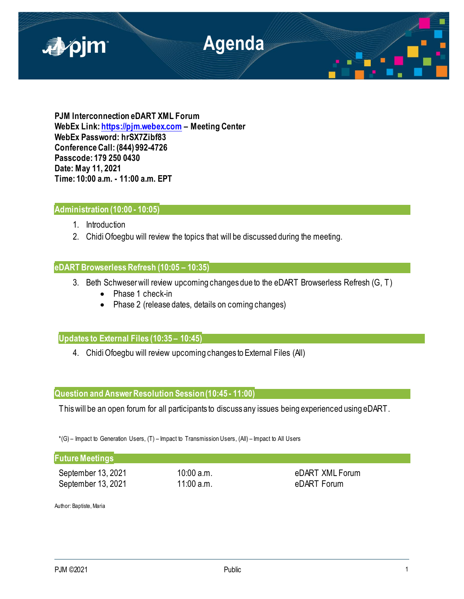

**PJM Interconnection eDART XML Forum WebEx Link[: https://pjm.webex.com](https://pjm.webex.com/) – Meeting Center WebEx Password: hrSX7Zibf83 Conference Call: (844) 992-4726 Passcode: 179 250 0430 Date: May 11, 2021 Time: 10:00 a.m. - 11:00 a.m. EPT**

# **Administration (10:00 - 10:05)**

- 1. Introduction
- 2. Chidi Ofoegbu will review the topics that will be discussed during the meeting.

# **eDART Browserless Refresh (10:05 – 10:35)**

- 3. Beth Schweserwill review upcoming changes due to the eDART Browserless Refresh (G, T)
	- Phase 1 check-in
	- Phase 2 (release dates, details on coming changes)

# **Updates to External Files (10:35 – 10:45)**

4. Chidi Ofoegbu will review upcoming changes to External Files (All)

## **Question and Answer Resolution Session (10:45 - 11:00)**

This will be an open forum for all participants to discuss any issues being experienced using eDART.

\*(G) – Impact to Generation Users, (T) – Impact to Transmission Users, (All) – Impact to All Users

## **Future Meetings**

September 13, 2021 10:00 a.m. by a september 13, 2021 September 13, 2021 11:00 a.m. by the eDART Forum

Author: Baptiste, Maria